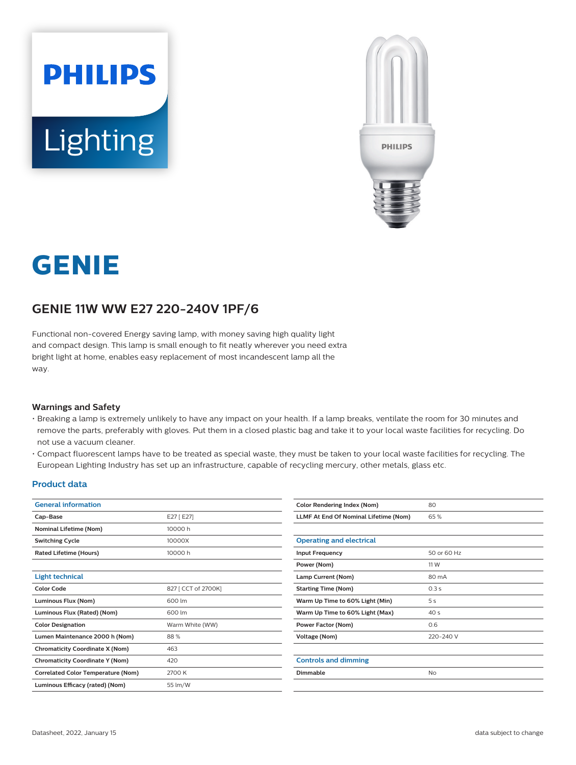



# **GENIE**

## **GENIE 11W WW E27 220-240V 1PF/6**

Functional non-covered Energy saving lamp, with money saving high quality light and compact design. This lamp is small enough to fit neatly wherever you need extra bright light at home, enables easy replacement of most incandescent lamp all the way.

#### **Warnings and Safety**

- Breaking a lamp is extremely unlikely to have any impact on your health. If a lamp breaks, ventilate the room for 30 minutes and remove the parts, preferably with gloves. Put them in a closed plastic bag and take it to your local waste facilities for recycling. Do not use a vacuum cleaner.
- Compact fluorescent lamps have to be treated as special waste, they must be taken to your local waste facilities for recycling. The European Lighting Industry has set up an infrastructure, capable of recycling mercury, other metals, glass etc.

#### **Product data**

| <b>General information</b>                |                     | <b>Color Rendering Index (Nom)</b>    | 80              |  |
|-------------------------------------------|---------------------|---------------------------------------|-----------------|--|
| Cap-Base                                  | E27 [E27]           | LLMF At End Of Nominal Lifetime (Nom) | 65%             |  |
| <b>Nominal Lifetime (Nom)</b>             | 10000 h             |                                       |                 |  |
| <b>Switching Cycle</b>                    | 10000X              | <b>Operating and electrical</b>       |                 |  |
| Rated Lifetime (Hours)                    | 10000h              | <b>Input Frequency</b>                | 50 or 60 Hz     |  |
|                                           |                     | Power (Nom)                           | 11 W            |  |
| <b>Light technical</b>                    |                     | Lamp Current (Nom)                    | 80 mA           |  |
| <b>Color Code</b>                         | 827 [ CCT of 2700K] | <b>Starting Time (Nom)</b>            | 0.3s            |  |
| Luminous Flux (Nom)                       | 600 lm              | Warm Up Time to 60% Light (Min)       | 5s              |  |
| Luminous Flux (Rated) (Nom)               | 600 lm              | Warm Up Time to 60% Light (Max)       | 40 <sub>s</sub> |  |
| <b>Color Designation</b>                  | Warm White (WW)     | <b>Power Factor (Nom)</b>             | 0.6             |  |
| Lumen Maintenance 2000 h (Nom)            | 88%                 | Voltage (Nom)                         | 220-240 V       |  |
| <b>Chromaticity Coordinate X (Nom)</b>    | 463                 |                                       |                 |  |
| <b>Chromaticity Coordinate Y (Nom)</b>    | 420                 | <b>Controls and dimming</b>           |                 |  |
| <b>Correlated Color Temperature (Nom)</b> | 2700 K              | Dimmable<br><b>No</b>                 |                 |  |
| Luminous Efficacy (rated) (Nom)           | 55 lm/W             |                                       |                 |  |
|                                           |                     |                                       |                 |  |